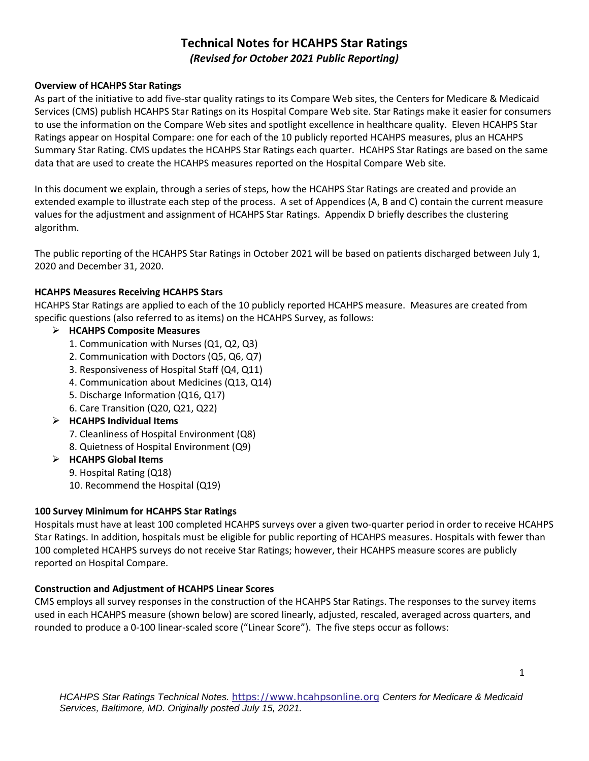# **Technical Notes for HCAHPS Star Ratings**  *(Revised for October 2021 Public Reporting)*

### **Overview of HCAHPS Star Ratings**

As part of the initiative to add five-star quality ratings to its Compare Web sites, the Centers for Medicare & Medicaid Services (CMS) publish HCAHPS Star Ratings on its Hospital Compare Web site. Star Ratings make it easier for consumers to use the information on the Compare Web sites and spotlight excellence in healthcare quality. Eleven HCAHPS Star Ratings appear on Hospital Compare: one for each of the 10 publicly reported HCAHPS measures, plus an HCAHPS Summary Star Rating. CMS updates the HCAHPS Star Ratings each quarter. HCAHPS Star Ratings are based on the same data that are used to create the HCAHPS measures reported on the Hospital Compare Web site.

In this document we explain, through a series of steps, how the HCAHPS Star Ratings are created and provide an extended example to illustrate each step of the process. A set of Appendices (A, B and C) contain the current measure values for the adjustment and assignment of HCAHPS Star Ratings. Appendix D briefly describes the clustering algorithm.

The public reporting of the HCAHPS Star Ratings in October 2021 will be based on patients discharged between July 1, 2020 and December 31, 2020.

### **HCAHPS Measures Receiving HCAHPS Stars**

HCAHPS Star Ratings are applied to each of the 10 publicly reported HCAHPS measure. Measures are created from specific questions (also referred to as items) on the HCAHPS Survey, as follows:

### **HCAHPS Composite Measures**

- 1. Communication with Nurses (Q1, Q2, Q3)
- 2. Communication with Doctors (Q5, Q6, Q7)
- 3. Responsiveness of Hospital Staff (Q4, Q11)
- 4. Communication about Medicines (Q13, Q14)
- 5. Discharge Information (Q16, Q17)
- 6. Care Transition (Q20, Q21, Q22)
- **HCAHPS Individual Items** 
	- 7. Cleanliness of Hospital Environment (Q8)
	- 8. Quietness of Hospital Environment (Q9)
- **HCAHPS Global Items** 
	- 9. Hospital Rating (Q18)
	- 10. Recommend the Hospital (Q19)

#### **100 Survey Minimum for HCAHPS Star Ratings**

Hospitals must have at least 100 completed HCAHPS surveys over a given two-quarter period in order to receive HCAHPS Star Ratings. In addition, hospitals must be eligible for public reporting of HCAHPS measures. Hospitals with fewer than 100 completed HCAHPS surveys do not receive Star Ratings; however, their HCAHPS measure scores are publicly reported on Hospital Compare.

#### **Construction and Adjustment of HCAHPS Linear Scores**

CMS employs all survey responses in the construction of the HCAHPS Star Ratings. The responses to the survey items used in each HCAHPS measure (shown below) are scored linearly, adjusted, rescaled, averaged across quarters, and rounded to produce a 0-100 linear-scaled score ("Linear Score"). The five steps occur as follows: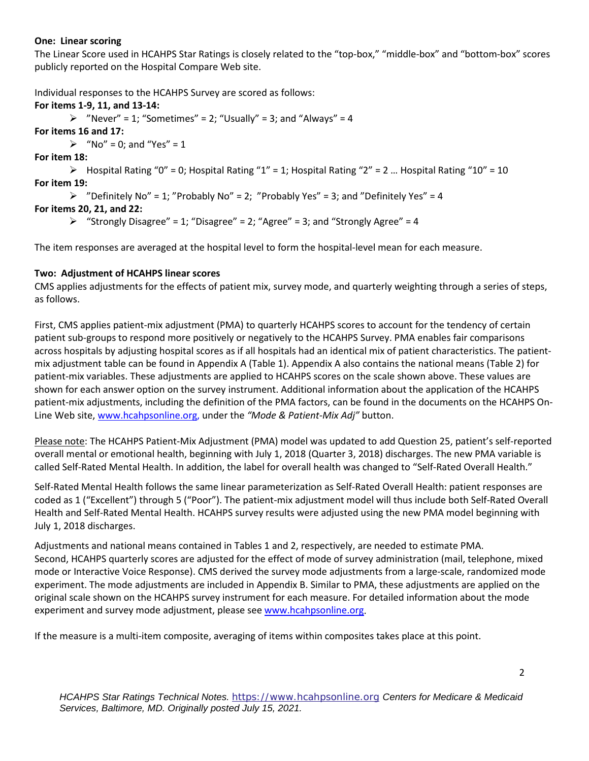#### **One: Linear scoring**

The Linear Score used in HCAHPS Star Ratings is closely related to the "top-box," "middle-box" and "bottom-box" scores publicly reported on the Hospital Compare Web site.

Individual responses to the HCAHPS Survey are scored as follows:

**For items 1-9, 11, and 13-14:**   $\triangleright$  "Never" = 1; "Sometimes" = 2; "Usually" = 3; and "Always" = 4 **For items 16 and 17:**   $\triangleright$  "No" = 0; and "Yes" = 1 **For item 18:**   $\triangleright$  Hospital Rating "0" = 0; Hospital Rating "1" = 1; Hospital Rating "2" = 2 ... Hospital Rating "10" = 10 **For item 19:**   $\triangleright$  "Definitely No" = 1; "Probably No" = 2; "Probably Yes" = 3; and "Definitely Yes" = 4 **For items 20, 21, and 22:**   $\triangleright$  "Strongly Disagree" = 1; "Disagree" = 2; "Agree" = 3; and "Strongly Agree" = 4 The item responses are averaged at the hospital level to form the hospital-level mean for each measure.

# **Two: Adjustment of HCAHPS linear scores**

CMS applies adjustments for the effects of patient mix, survey mode, and quarterly weighting through a series of steps, as follows.

First, CMS applies patient-mix adjustment (PMA) to quarterly HCAHPS scores to account for the tendency of certain patient sub-groups to respond more positively or negatively to the HCAHPS Survey. PMA enables fair comparisons across hospitals by adjusting hospital scores as if all hospitals had an identical mix of patient characteristics. The patientmix adjustment table can be found in Appendix A (Table 1). Appendix A also contains the national means (Table 2) for patient-mix variables. These adjustments are applied to HCAHPS scores on the scale shown above. These values are shown for each answer option on the survey instrument. Additional information about the application of the HCAHPS patient-mix adjustments, including the definition of the PMA factors, can be found in the documents on the HCAHPS On-Line Web site[, www.hcahpsonline.org,](http://www.hcahpsonline.org/) under the *"Mode & Patient-Mix Adj"* button.

Please note: The HCAHPS Patient-Mix Adjustment (PMA) model was updated to add Question 25, patient's self-reported overall mental or emotional health, beginning with July 1, 2018 (Quarter 3, 2018) discharges. The new PMA variable is called Self-Rated Mental Health. In addition, the label for overall health was changed to "Self-Rated Overall Health."

Self-Rated Mental Health follows the same linear parameterization as Self-Rated Overall Health: patient responses are coded as 1 ("Excellent") through 5 ("Poor"). The patient-mix adjustment model will thus include both Self-Rated Overall Health and Self-Rated Mental Health. HCAHPS survey results were adjusted using the new PMA model beginning with July 1, 2018 discharges.

Adjustments and national means contained in Tables 1 and 2, respectively, are needed to estimate PMA. Second, HCAHPS quarterly scores are adjusted for the effect of mode of survey administration (mail, telephone, mixed mode or Interactive Voice Response). CMS derived the survey mode adjustments from a large-scale, randomized mode experiment. The mode adjustments are included in Appendix B. Similar to PMA, these adjustments are applied on the original scale shown on the HCAHPS survey instrument for each measure. For detailed information about the mode experiment and survey mode adjustment, please see [www.hcahpsonline.org.](http://www.hcahpsonline.org/)

If the measure is a multi-item composite, averaging of items within composites takes place at this point.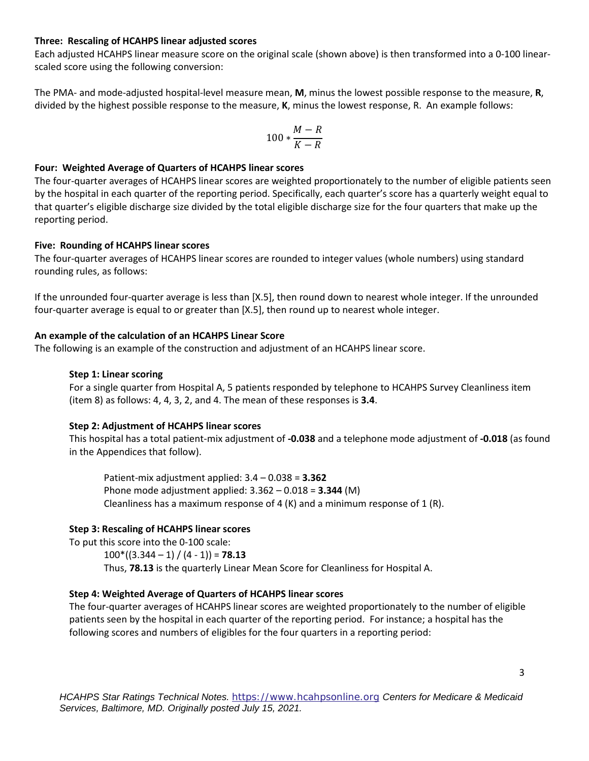#### **Three: Rescaling of HCAHPS linear adjusted scores**

Each adjusted HCAHPS linear measure score on the original scale (shown above) is then transformed into a 0-100 linearscaled score using the following conversion:

The PMA- and mode-adjusted hospital-level measure mean, **M**, minus the lowest possible response to the measure, **R**, divided by the highest possible response to the measure, **K**, minus the lowest response, R. An example follows:

$$
100*\frac{M-R}{K-R}
$$

#### **Four: Weighted Average of Quarters of HCAHPS linear scores**

The four-quarter averages of HCAHPS linear scores are weighted proportionately to the number of eligible patients seen by the hospital in each quarter of the reporting period. Specifically, each quarter's score has a quarterly weight equal to that quarter's eligible discharge size divided by the total eligible discharge size for the four quarters that make up the reporting period.

#### **Five: Rounding of HCAHPS linear scores**

The four-quarter averages of HCAHPS linear scores are rounded to integer values (whole numbers) using standard rounding rules, as follows:

If the unrounded four-quarter average is less than [X.5], then round down to nearest whole integer. If the unrounded four-quarter average is equal to or greater than [X.5], then round up to nearest whole integer.

### **An example of the calculation of an HCAHPS Linear Score**

The following is an example of the construction and adjustment of an HCAHPS linear score.

### **Step 1: Linear scoring**

For a single quarter from Hospital A, 5 patients responded by telephone to HCAHPS Survey Cleanliness item (item 8) as follows: 4, 4, 3, 2, and 4. The mean of these responses is **3.4**.

# **Step 2: Adjustment of HCAHPS linear scores**

This hospital has a total patient-mix adjustment of **-0.038** and a telephone mode adjustment of **-0.018** (as found in the Appendices that follow).

Patient-mix adjustment applied: 3.4 – 0.038 = **3.362** Phone mode adjustment applied: 3.362 – 0.018 = **3.344** (M) Cleanliness has a maximum response of 4  $(K)$  and a minimum response of 1  $(R)$ .

# **Step 3: Rescaling of HCAHPS linear scores**

To put this score into the 0-100 scale:

 $100*(3.344 - 1) / (4 - 1) = 78.13$ 

Thus, **78.13** is the quarterly Linear Mean Score for Cleanliness for Hospital A.

# **Step 4: Weighted Average of Quarters of HCAHPS linear scores**

The four-quarter averages of HCAHPS linear scores are weighted proportionately to the number of eligible patients seen by the hospital in each quarter of the reporting period. For instance; a hospital has the following scores and numbers of eligibles for the four quarters in a reporting period: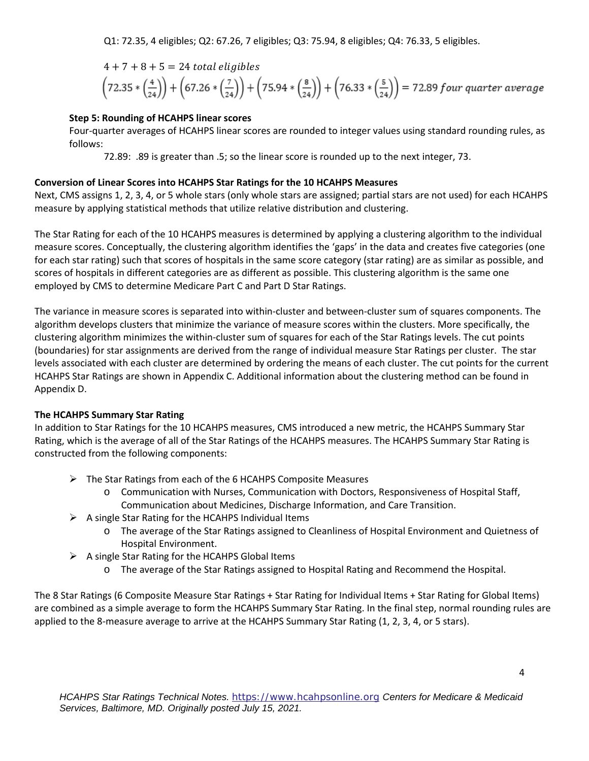Q1: 72.35, 4 eligibles; Q2: 67.26, 7 eligibles; Q3: 75.94, 8 eligibles; Q4: 76.33, 5 eligibles.

 $4 + 7 + 8 + 5 = 24$  total eligibles<br>  $\left(72.35 * \left(\frac{4}{24}\right)\right) + \left(67.26 * \left(\frac{7}{24}\right)\right) + \left(75.94 * \left(\frac{8}{24}\right)\right) + \left(76.33 * \left(\frac{5}{24}\right)\right) = 72.89$  four quarter average

### **Step 5: Rounding of HCAHPS linear scores**

Four-quarter averages of HCAHPS linear scores are rounded to integer values using standard rounding rules, as follows:

72.89: .89 is greater than .5; so the linear score is rounded up to the next integer, 73.

# **Conversion of Linear Scores into HCAHPS Star Ratings for the 10 HCAHPS Measures**

Next, CMS assigns 1, 2, 3, 4, or 5 whole stars (only whole stars are assigned; partial stars are not used) for each HCAHPS measure by applying statistical methods that utilize relative distribution and clustering.

The Star Rating for each of the 10 HCAHPS measures is determined by applying a clustering algorithm to the individual measure scores. Conceptually, the clustering algorithm identifies the 'gaps' in the data and creates five categories (one for each star rating) such that scores of hospitals in the same score category (star rating) are as similar as possible, and scores of hospitals in different categories are as different as possible. This clustering algorithm is the same one employed by CMS to determine Medicare Part C and Part D Star Ratings.

The variance in measure scores is separated into within-cluster and between-cluster sum of squares components. The algorithm develops clusters that minimize the variance of measure scores within the clusters. More specifically, the clustering algorithm minimizes the within-cluster sum of squares for each of the Star Ratings levels. The cut points (boundaries) for star assignments are derived from the range of individual measure Star Ratings per cluster. The star levels associated with each cluster are determined by ordering the means of each cluster. The cut points for the current HCAHPS Star Ratings are shown in Appendix C. Additional information about the clustering method can be found in Appendix D.

# **The HCAHPS Summary Star Rating**

In addition to Star Ratings for the 10 HCAHPS measures, CMS introduced a new metric, the HCAHPS Summary Star Rating, which is the average of all of the Star Ratings of the HCAHPS measures. The HCAHPS Summary Star Rating is constructed from the following components:

- $\triangleright$  The Star Ratings from each of the 6 HCAHPS Composite Measures
	- o Communication with Nurses, Communication with Doctors, Responsiveness of Hospital Staff, Communication about Medicines, Discharge Information, and Care Transition.
- $\triangleright$  A single Star Rating for the HCAHPS Individual Items
	- o The average of the Star Ratings assigned to Cleanliness of Hospital Environment and Quietness of Hospital Environment.
- $\triangleright$  A single Star Rating for the HCAHPS Global Items
	- o The average of the Star Ratings assigned to Hospital Rating and Recommend the Hospital.

The 8 Star Ratings (6 Composite Measure Star Ratings + Star Rating for Individual Items + Star Rating for Global Items) are combined as a simple average to form the HCAHPS Summary Star Rating. In the final step, normal rounding rules are applied to the 8-measure average to arrive at the HCAHPS Summary Star Rating (1, 2, 3, 4, or 5 stars).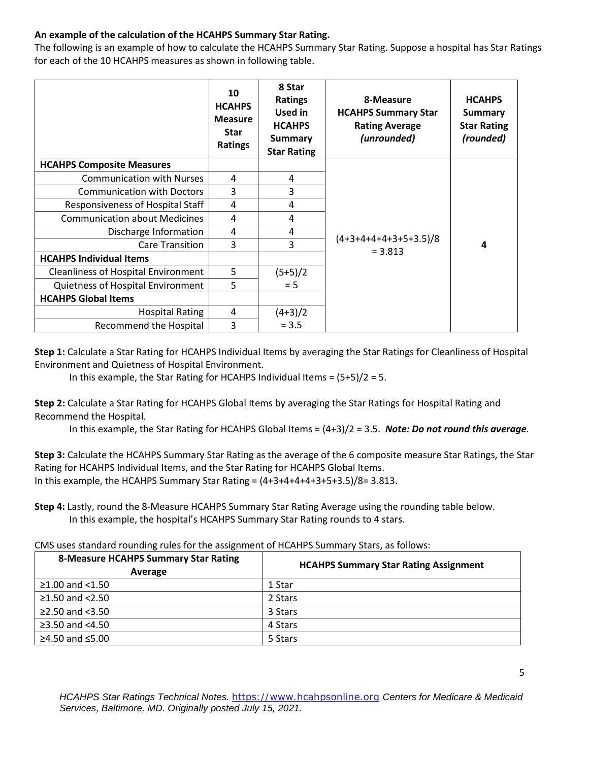# **An example of the calculation of the HCAHPS Summary Star Rating.**

The following is an example of how to calculate the HCAHPS Summary Star Rating. Suppose a hospital has Star Ratings for each of the 10 HCAHPS measures as shown in following table.

|                                            | 10<br><b>HCAHPS</b><br><b>Measure</b><br><b>Star</b><br><b>Ratings</b> | 8 Star<br><b>Ratings</b><br>Used in<br><b>HCAHPS</b><br><b>Summary</b><br><b>Star Rating</b> | 8-Measure<br><b>HCAHPS Summary Star</b><br><b>Rating Average</b><br>(unrounded) | <b>HCAHPS</b><br><b>Summary</b><br><b>Star Rating</b><br>(rounded) |
|--------------------------------------------|------------------------------------------------------------------------|----------------------------------------------------------------------------------------------|---------------------------------------------------------------------------------|--------------------------------------------------------------------|
| <b>HCAHPS Composite Measures</b>           |                                                                        |                                                                                              |                                                                                 |                                                                    |
| <b>Communication with Nurses</b>           | 4                                                                      | 4                                                                                            |                                                                                 |                                                                    |
| <b>Communication with Doctors</b>          | $\overline{3}$                                                         | 3                                                                                            |                                                                                 |                                                                    |
| Responsiveness of Hospital Staff           | 4                                                                      | 4                                                                                            |                                                                                 |                                                                    |
| <b>Communication about Medicines</b>       | 4                                                                      | 4                                                                                            |                                                                                 | 4                                                                  |
| Discharge Information                      | 4                                                                      | 4                                                                                            |                                                                                 |                                                                    |
| Care Transition                            | 3                                                                      | 3                                                                                            | $(4+3+4+4+4+3+5+3.5)/8$<br>$= 3.813$                                            |                                                                    |
| <b>HCAHPS Individual Items</b>             |                                                                        |                                                                                              |                                                                                 |                                                                    |
| <b>Cleanliness of Hospital Environment</b> | 5                                                                      | $(5+5)/2$                                                                                    |                                                                                 |                                                                    |
| Quietness of Hospital Environment          | 5                                                                      | $= 5$                                                                                        |                                                                                 |                                                                    |
| <b>HCAHPS Global Items</b>                 |                                                                        |                                                                                              |                                                                                 |                                                                    |
| <b>Hospital Rating</b>                     | 4                                                                      | $(4+3)/2$                                                                                    |                                                                                 |                                                                    |
| <b>Recommend the Hospital</b>              | 3                                                                      | $= 3.5$                                                                                      |                                                                                 |                                                                    |

**Step 1:** Calculate a Star Rating for HCAHPS Individual Items by averaging the Star Ratings for Cleanliness of Hospital Environment and Quietness of Hospital Environment.

In this example, the Star Rating for HCAHPS Individual Items = (5+5)/2 = 5.

**Step 2:** Calculate a Star Rating for HCAHPS Global Items by averaging the Star Ratings for Hospital Rating and Recommend the Hospital.

In this example, the Star Rating for HCAHPS Global Items = (4+3)/2 = 3.5. *Note: Do not round this average.*

**Step 3:** Calculate the HCAHPS Summary Star Rating as the average of the 6 composite measure Star Ratings, the Star Rating for HCAHPS Individual Items, and the Star Rating for HCAHPS Global Items. In this example, the HCAHPS Summary Star Rating =  $(4+3+4+4+4+3+5+3.5)/8=3.813$ .

**Step 4:** Lastly, round the 8-Measure HCAHPS Summary Star Rating Average using the rounding table below. In this example, the hospital's HCAHPS Summary Star Rating rounds to 4 stars.

CMS uses standard rounding rules for the assignment of HCAHPS Summary Stars, as follows:

| <b>8-Measure HCAHPS Summary Star Rating</b><br>Average | <b>HCAHPS Summary Star Rating Assignment</b> |  |  |  |
|--------------------------------------------------------|----------------------------------------------|--|--|--|
| $≥1.00$ and <1.50                                      | 1 Star                                       |  |  |  |
| ≥1.50 and $<$ 2.50                                     | 2 Stars                                      |  |  |  |
| ≥2.50 and $<3.50$                                      | 3 Stars                                      |  |  |  |
| ≥3.50 and $<4.50$                                      | 4 Stars                                      |  |  |  |
| ≥4.50 and $≤5.00$                                      | 5 Stars                                      |  |  |  |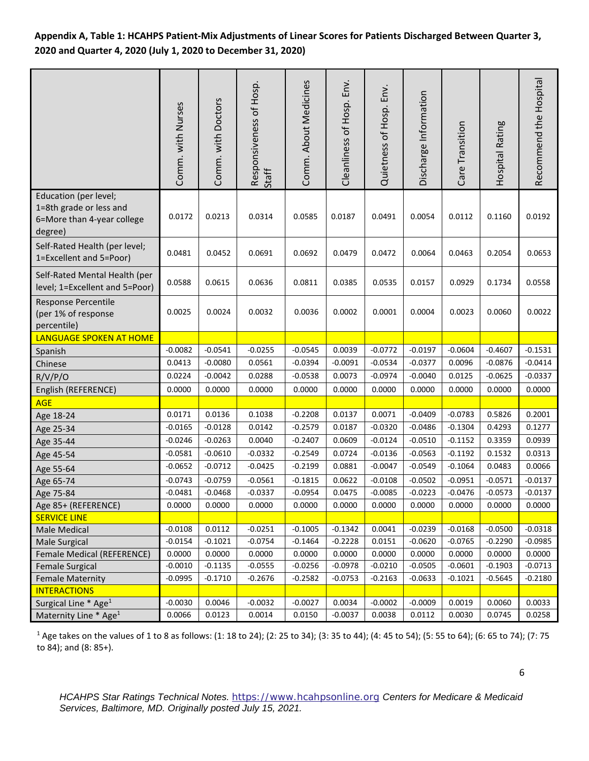**Appendix A, Table 1: HCAHPS Patient-Mix Adjustments of Linear Scores for Patients Discharged Between Quarter 3, 2020 and Quarter 4, 2020 (July 1, 2020 to December 31, 2020)** 

|                                                                                           | Comm. with Nurses | Comm. with Doctors | Responsiveness of Hosp.<br>Staff | Comm. About Medicines | Cleanliness of Hosp. Env. | Quietness of Hosp. Env. | Discharge Information | Care Transition | Hospital Rating | Recommend the Hospital |
|-------------------------------------------------------------------------------------------|-------------------|--------------------|----------------------------------|-----------------------|---------------------------|-------------------------|-----------------------|-----------------|-----------------|------------------------|
| Education (per level;<br>1=8th grade or less and<br>6=More than 4-year college<br>degree) | 0.0172            | 0.0213             | 0.0314                           | 0.0585                | 0.0187                    | 0.0491                  | 0.0054                | 0.0112          | 0.1160          | 0.0192                 |
| Self-Rated Health (per level;<br>1=Excellent and 5=Poor)                                  | 0.0481            | 0.0452             | 0.0691                           | 0.0692                | 0.0479                    | 0.0472                  | 0.0064                | 0.0463          | 0.2054          | 0.0653                 |
| Self-Rated Mental Health (per<br>level; 1=Excellent and 5=Poor)                           | 0.0588            | 0.0615             | 0.0636                           | 0.0811                | 0.0385                    | 0.0535                  | 0.0157                | 0.0929          | 0.1734          | 0.0558                 |
| <b>Response Percentile</b><br>(per 1% of response<br>percentile)                          | 0.0025            | 0.0024             | 0.0032                           | 0.0036                | 0.0002                    | 0.0001                  | 0.0004                | 0.0023          | 0.0060          | 0.0022                 |
| <b>LANGUAGE SPOKEN AT HOME</b>                                                            |                   |                    |                                  |                       |                           |                         |                       |                 |                 |                        |
| Spanish                                                                                   | $-0.0082$         | $-0.0541$          | $-0.0255$                        | $-0.0545$             | 0.0039                    | $-0.0772$               | $-0.0197$             | $-0.0604$       | $-0.4607$       | $-0.1531$              |
| Chinese                                                                                   | 0.0413            | $-0.0080$          | 0.0561                           | $-0.0394$             | $-0.0091$                 | $-0.0534$               | $-0.0377$             | 0.0096          | $-0.0876$       | $-0.0414$              |
| R/V/P/O                                                                                   | 0.0224            | $-0.0042$          | 0.0288                           | $-0.0538$             | 0.0073                    | $-0.0974$               | $-0.0040$             | 0.0125          | $-0.0625$       | $-0.0337$              |
| English (REFERENCE)                                                                       | 0.0000            | 0.0000             | 0.0000                           | 0.0000                | 0.0000                    | 0.0000                  | 0.0000                | 0.0000          | 0.0000          | 0.0000                 |
| <b>AGE</b>                                                                                |                   |                    |                                  |                       |                           |                         |                       |                 |                 |                        |
| Age 18-24                                                                                 | 0.0171            | 0.0136             | 0.1038                           | $-0.2208$             | 0.0137                    | 0.0071                  | $-0.0409$             | $-0.0783$       | 0.5826          | 0.2001                 |
| Age 25-34                                                                                 | $-0.0165$         | $-0.0128$          | 0.0142                           | $-0.2579$             | 0.0187                    | $-0.0320$               | $-0.0486$             | $-0.1304$       | 0.4293          | 0.1277                 |
| Age 35-44                                                                                 | $-0.0246$         | $-0.0263$          | 0.0040                           | $-0.2407$             | 0.0609                    | $-0.0124$               | $-0.0510$             | $-0.1152$       | 0.3359          | 0.0939                 |
| Age 45-54                                                                                 | $-0.0581$         | $-0.0610$          | $-0.0332$                        | $-0.2549$             | 0.0724                    | $-0.0136$               | $-0.0563$             | $-0.1192$       | 0.1532          | 0.0313                 |
| Age 55-64                                                                                 | $-0.0652$         | $-0.0712$          | $-0.0425$                        | $-0.2199$             | 0.0881                    | $-0.0047$               | $-0.0549$             | $-0.1064$       | 0.0483          | 0.0066                 |
| Age 65-74                                                                                 | $-0.0743$         | $-0.0759$          | $-0.0561$                        | $-0.1815$             | 0.0622                    | $-0.0108$               | $-0.0502$             | $-0.0951$       | $-0.0571$       | $-0.0137$              |
| Age 75-84                                                                                 | $-0.0481$         | $-0.0468$          | $-0.0337$                        | $-0.0954$             | 0.0475                    | $-0.0085$               | $-0.0223$             | $-0.0476$       | $-0.0573$       | $-0.0137$              |
| Age 85+ (REFERENCE)                                                                       | 0.0000            | 0.0000             | 0.0000                           | 0.0000                | 0.0000                    | 0.0000                  | 0.0000                | 0.0000          | 0.0000          | 0.0000                 |
| <b>SERVICE LINE</b>                                                                       |                   |                    |                                  |                       |                           |                         |                       |                 |                 |                        |
| Male Medical                                                                              | $-0.0108$         | 0.0112             | $-0.0251$                        | $-0.1005$             | $-0.1342$                 | 0.0041                  | $-0.0239$             | $-0.0168$       | $-0.0500$       | $-0.0318$              |
| <b>Male Surgical</b>                                                                      | $-0.0154$         | $-0.1021$          | $-0.0754$                        | $-0.1464$             | $-0.2228$                 | 0.0151                  | $-0.0620$             | $-0.0765$       | $-0.2290$       | $-0.0985$              |
| Female Medical (REFERENCE)                                                                | 0.0000            | 0.0000             | 0.0000                           | 0.0000                | 0.0000                    | 0.0000                  | 0.0000                | 0.0000          | 0.0000          | 0.0000                 |
| <b>Female Surgical</b>                                                                    | $-0.0010$         | $-0.1135$          | $-0.0555$                        | $-0.0256$             | $-0.0978$                 | $-0.0210$               | $-0.0505$             | $-0.0601$       | $-0.1903$       | $-0.0713$              |
| <b>Female Maternity</b>                                                                   | $-0.0995$         | $-0.1710$          | $-0.2676$                        | $-0.2582$             | $-0.0753$                 | $-0.2163$               | $-0.0633$             | $-0.1021$       | $-0.5645$       | $-0.2180$              |
| <b>INTERACTIONS</b>                                                                       | $-0.0030$         | 0.0046             | $-0.0032$                        | $-0.0027$             | 0.0034                    | $-0.0002$               | $-0.0009$             | 0.0019          | 0.0060          | 0.0033                 |
| Surgical Line * Age <sup>1</sup>                                                          | 0.0066            |                    | 0.0014                           | 0.0150                | $-0.0037$                 | 0.0038                  | 0.0112                | 0.0030          | 0.0745          | 0.0258                 |
| Maternity Line * Age <sup>1</sup>                                                         |                   | 0.0123             |                                  |                       |                           |                         |                       |                 |                 |                        |

<sup>1</sup> Age takes on the values of 1 to 8 as follows: (1: 18 to 24); (2: 25 to 34); (3: 35 to 44); (4: 45 to 54); (5: 55 to 64); (6: 65 to 74); (7: 75 to 84); and (8: 85+).

*HCAHPS Star Ratings Technical Notes.* [https://www.hcahpsonline.org](http://www.hcahpsonline.org/) *Centers for Medicare & Medicaid Services, Baltimore, MD. Originally posted July 15, 2021.*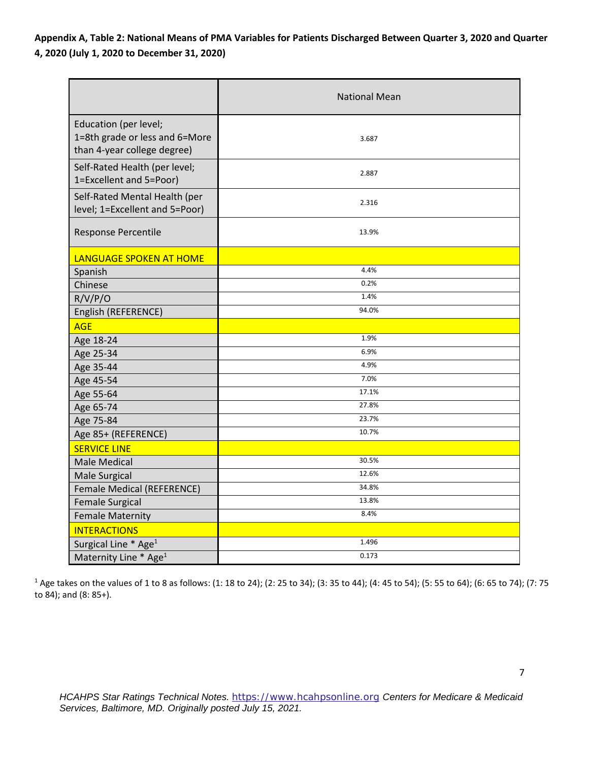**Appendix A, Table 2: National Means of PMA Variables for Patients Discharged Between Quarter 3, 2020 and Quarter 4, 2020 (July 1, 2020 to December 31, 2020)** 

|                                                                                        | <b>National Mean</b> |
|----------------------------------------------------------------------------------------|----------------------|
| Education (per level;<br>1=8th grade or less and 6=More<br>than 4-year college degree) | 3.687                |
| Self-Rated Health (per level;<br>1=Excellent and 5=Poor)                               | 2.887                |
| Self-Rated Mental Health (per<br>level; 1=Excellent and 5=Poor)                        | 2.316                |
| Response Percentile                                                                    | 13.9%                |
| LANGUAGE SPOKEN AT HOME                                                                |                      |
| Spanish                                                                                | 4.4%                 |
| Chinese                                                                                | 0.2%                 |
| R/V/P/O                                                                                | 1.4%                 |
| English (REFERENCE)                                                                    | 94.0%                |
| <b>AGE</b>                                                                             |                      |
| Age 18-24                                                                              | 1.9%                 |
| Age 25-34                                                                              | 6.9%                 |
| Age 35-44                                                                              | 4.9%                 |
| Age 45-54                                                                              | 7.0%                 |
| Age 55-64                                                                              | 17.1%                |
| Age 65-74                                                                              | 27.8%                |
| Age 75-84                                                                              | 23.7%                |
| Age 85+ (REFERENCE)                                                                    | 10.7%                |
| <b>SERVICE LINE</b>                                                                    |                      |
| <b>Male Medical</b>                                                                    | 30.5%                |
| Male Surgical                                                                          | 12.6%                |
| Female Medical (REFERENCE)                                                             | 34.8%                |
| <b>Female Surgical</b>                                                                 | 13.8%                |
| <b>Female Maternity</b>                                                                | 8.4%                 |
| <b>INTERACTIONS</b>                                                                    |                      |
| Surgical Line * Age <sup>1</sup>                                                       | 1.496                |
| Maternity Line * Age <sup>1</sup>                                                      | 0.173                |

<sup>1</sup> Age takes on the values of 1 to 8 as follows: (1: 18 to 24); (2: 25 to 34); (3: 35 to 44); (4: 45 to 54); (5: 55 to 64); (6: 65 to 74); (7: 75 to 84); and (8: 85+).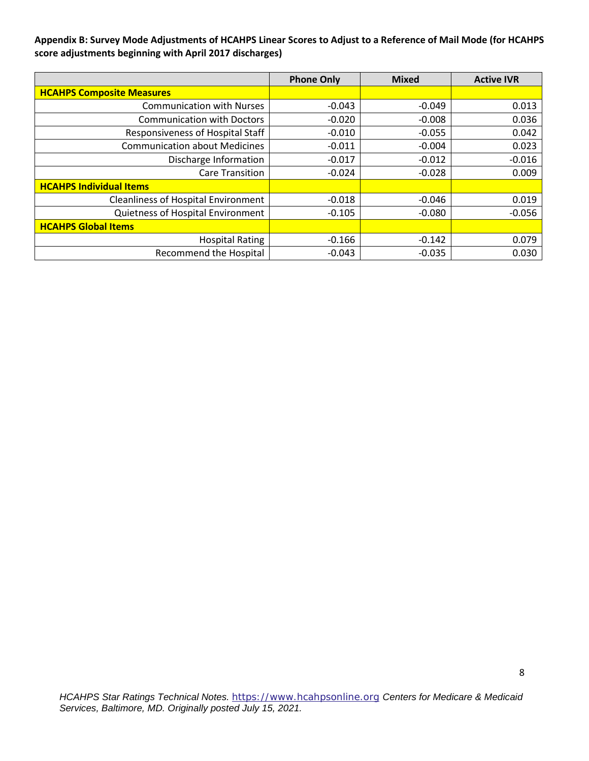**Appendix B: Survey Mode Adjustments of HCAHPS Linear Scores to Adjust to a Reference of Mail Mode (for HCAHPS score adjustments beginning with April 2017 discharges)** 

|                                            | <b>Phone Only</b> | <b>Mixed</b> | <b>Active IVR</b> |
|--------------------------------------------|-------------------|--------------|-------------------|
| <b>HCAHPS Composite Measures</b>           |                   |              |                   |
| <b>Communication with Nurses</b>           | $-0.043$          | $-0.049$     | 0.013             |
| <b>Communication with Doctors</b>          | $-0.020$          | $-0.008$     | 0.036             |
| Responsiveness of Hospital Staff           | $-0.010$          | $-0.055$     | 0.042             |
| <b>Communication about Medicines</b>       | $-0.011$          | $-0.004$     | 0.023             |
| Discharge Information                      | $-0.017$          | $-0.012$     | $-0.016$          |
| <b>Care Transition</b>                     | $-0.024$          | $-0.028$     | 0.009             |
| <b>HCAHPS Individual Items</b>             |                   |              |                   |
| <b>Cleanliness of Hospital Environment</b> | $-0.018$          | $-0.046$     | 0.019             |
| Quietness of Hospital Environment          | $-0.105$          | $-0.080$     | $-0.056$          |
| <b>HCAHPS Global Items</b>                 |                   |              |                   |
| <b>Hospital Rating</b>                     | $-0.166$          | $-0.142$     | 0.079             |
| <b>Recommend the Hospital</b>              | $-0.043$          | $-0.035$     | 0.030             |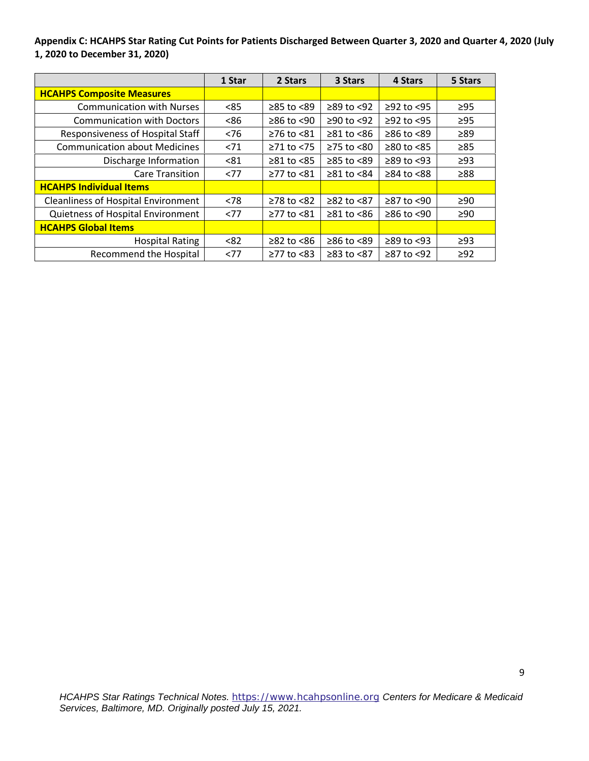**Appendix C: HCAHPS Star Rating Cut Points for Patients Discharged Between Quarter 3, 2020 and Quarter 4, 2020 (July 1, 2020 to December 31, 2020)** 

|                                            | 1 Star | 2 Stars          | 3 Stars                | 4 Stars          | 5 Stars   |
|--------------------------------------------|--------|------------------|------------------------|------------------|-----------|
| <b>HCAHPS Composite Measures</b>           |        |                  |                        |                  |           |
| <b>Communication with Nurses</b>           | < 85   | ≥85 to <89       | $≥89$ to <92           | $≥92$ to <95     | $\geq$ 95 |
| <b>Communication with Doctors</b>          | <86    | $≥86$ to <90     | $≥90$ to <92           | $≥92$ to $<95$   | $\geq$ 95 |
| Responsiveness of Hospital Staff           | < 76   | ≥76 to <81       | $\geq 81$ to <86       | $\geq$ 86 to <89 | $\geq 89$ |
| <b>Communication about Medicines</b>       | 271    | $\geq$ 71 to <75 | $\geq$ 75 to <80       | $≥80$ to $<85$   | $\geq 85$ |
| Discharge Information                      | < 81   | $\geq$ 81 to <85 | ≥85 to <89             | $\geq$ 89 to <93 | $\geq$ 93 |
| <b>Care Transition</b>                     | <77    | ≥77 to <81       | $\geq 81$ to <84       | $\geq$ 84 to <88 | ≥88       |
| <b>HCAHPS Individual Items</b>             |        |                  |                        |                  |           |
| <b>Cleanliness of Hospital Environment</b> | < 78   | $≥78$ to $≤82$   | ≥82 to <87             | $≥87$ to <90     | $\geq 90$ |
| Quietness of Hospital Environment          | <77    | ≥77 to <81       | $\geq 81$ to $\leq 86$ | $≥86$ to <90     | $\geq 90$ |
| <b>HCAHPS Global Items</b>                 |        |                  |                        |                  |           |
| <b>Hospital Rating</b>                     | < 82   | $≥82$ to $≤86$   | ≥86 to <89             | $\geq$ 89 to <93 | $\geq$ 93 |
| <b>Recommend the Hospital</b>              | <77    | $≥77$ to $≤83$   | $≥83$ to $<87$         | $≥87$ to <92     | $\geq$ 92 |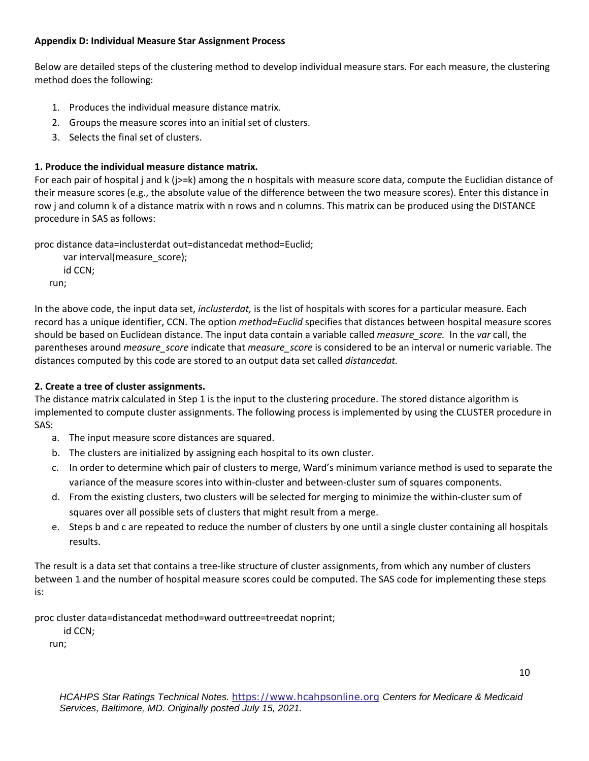### **Appendix D: Individual Measure Star Assignment Process**

Below are detailed steps of the clustering method to develop individual measure stars. For each measure, the clustering method does the following:

- 1. Produces the individual measure distance matrix.
- 2. Groups the measure scores into an initial set of clusters.
- 3. Selects the final set of clusters.

# **1. Produce the individual measure distance matrix.**

For each pair of hospital j and k (j>=k) among the n hospitals with measure score data, compute the Euclidian distance of their measure scores (e.g., the absolute value of the difference between the two measure scores). Enter this distance in row j and column k of a distance matrix with n rows and n columns. This matrix can be produced using the DISTANCE procedure in SAS as follows:

proc distance data=inclusterdat out=distancedat method=Euclid;

```
var interval(measure_score);
    id CCN;
run;
```
In the above code, the input data set, *inclusterdat,* is the list of hospitals with scores for a particular measure. Each record has a unique identifier, CCN. The option *method=Euclid* specifies that distances between hospital measure scores should be based on Euclidean distance. The input data contain a variable called *measure\_score.* In the *var* call, the parentheses around *measure\_score* indicate that *measure\_score* is considered to be an interval or numeric variable. The distances computed by this code are stored to an output data set called *distancedat.*

# **2. Create a tree of cluster assignments.**

The distance matrix calculated in Step 1 is the input to the clustering procedure. The stored distance algorithm is implemented to compute cluster assignments. The following process is implemented by using the CLUSTER procedure in SAS:

- a. The input measure score distances are squared.
- b. The clusters are initialized by assigning each hospital to its own cluster.
- c. In order to determine which pair of clusters to merge, Ward's minimum variance method is used to separate the variance of the measure scores into within-cluster and between-cluster sum of squares components.
- d. From the existing clusters, two clusters will be selected for merging to minimize the within-cluster sum of squares over all possible sets of clusters that might result from a merge.
- e. Steps b and c are repeated to reduce the number of clusters by one until a single cluster containing all hospitals results.

The result is a data set that contains a tree-like structure of cluster assignments, from which any number of clusters between 1 and the number of hospital measure scores could be computed. The SAS code for implementing these steps is:

proc cluster data=distancedat method=ward outtree=treedat noprint;

id CCN;

run;